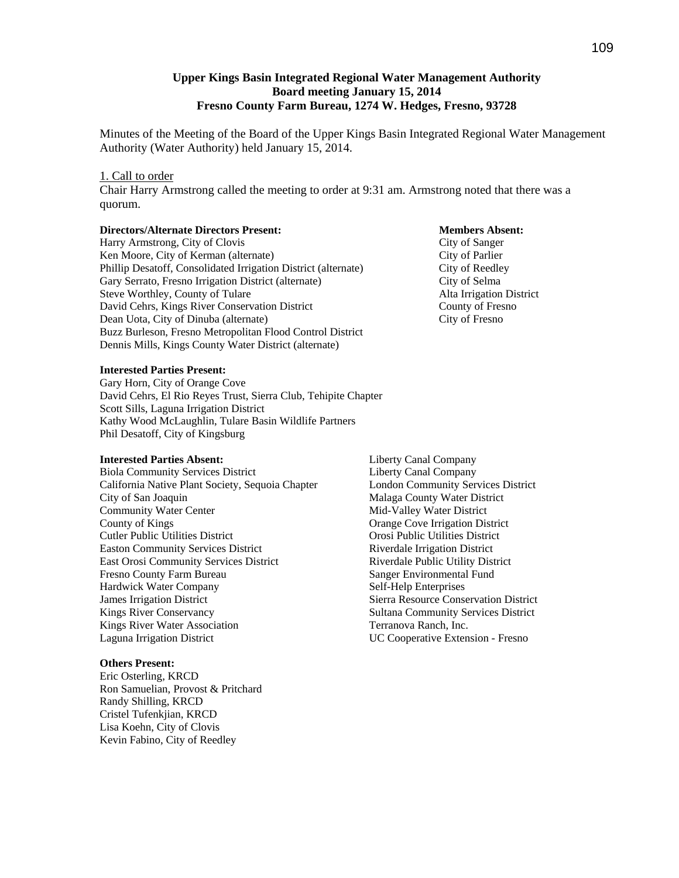## **Upper Kings Basin Integrated Regional Water Management Authority Board meeting January 15, 2014 Fresno County Farm Bureau, 1274 W. Hedges, Fresno, 93728**

Minutes of the Meeting of the Board of the Upper Kings Basin Integrated Regional Water Management Authority (Water Authority) held January 15, 2014.

#### 1. Call to order

Chair Harry Armstrong called the meeting to order at 9:31 am. Armstrong noted that there was a quorum.

#### **Directors/Alternate Directors Present: Members Absent:**

Harry Armstrong, City of Clovis City of Sanger Ken Moore, City of Kerman (alternate) City of Parlier Phillip Desatoff, Consolidated Irrigation District (alternate) City of Reedley Gary Serrato, Fresno Irrigation District (alternate) City of Selma Steve Worthley, County of Tulare Alta Irrigation District David Cehrs, Kings River Conservation District County of Fresno Dean Uota, City of Dinuba (alternate) City of Fresno Buzz Burleson, Fresno Metropolitan Flood Control District Dennis Mills, Kings County Water District (alternate)

#### **Interested Parties Present:**

Gary Horn, City of Orange Cove David Cehrs, El Rio Reyes Trust, Sierra Club, Tehipite Chapter Scott Sills, Laguna Irrigation District Kathy Wood McLaughlin, Tulare Basin Wildlife Partners Phil Desatoff, City of Kingsburg

#### **Interested Parties Absent:**

Biola Community Services District California Native Plant Society, Sequoia Chapter City of San Joaquin Community Water Center County of Kings Cutler Public Utilities District Easton Community Services District East Orosi Community Services District Fresno County Farm Bureau Hardwick Water Company James Irrigation District Kings River Conservancy Kings River Water Association Laguna Irrigation District

#### **Others Present:**

Eric Osterling, KRCD Ron Samuelian, Provost & Pritchard Randy Shilling, KRCD Cristel Tufenkjian, KRCD Lisa Koehn, City of Clovis Kevin Fabino, City of Reedley

Liberty Canal Company Liberty Canal Company London Community Services District Malaga County Water District Mid-Valley Water District Orange Cove Irrigation District Orosi Public Utilities District Riverdale Irrigation District Riverdale Public Utility District Sanger Environmental Fund Self-Help Enterprises Sierra Resource Conservation District Sultana Community Services District Terranova Ranch, Inc. UC Cooperative Extension - Fresno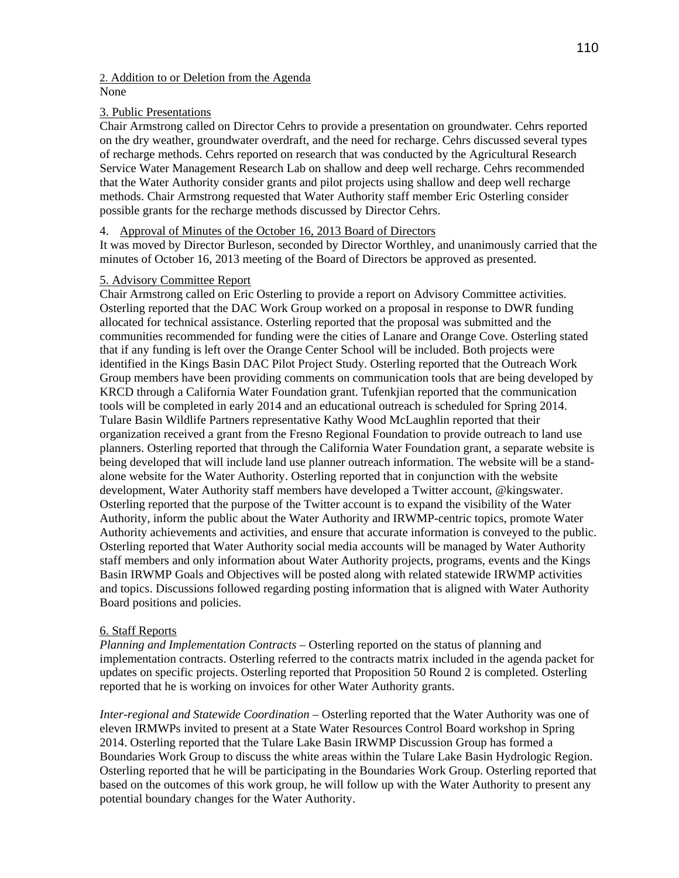## 2. Addition to or Deletion from the Agenda None

# 3. Public Presentations

Chair Armstrong called on Director Cehrs to provide a presentation on groundwater. Cehrs reported on the dry weather, groundwater overdraft, and the need for recharge. Cehrs discussed several types of recharge methods. Cehrs reported on research that was conducted by the Agricultural Research Service Water Management Research Lab on shallow and deep well recharge. Cehrs recommended that the Water Authority consider grants and pilot projects using shallow and deep well recharge methods. Chair Armstrong requested that Water Authority staff member Eric Osterling consider possible grants for the recharge methods discussed by Director Cehrs.

# 4. Approval of Minutes of the October 16, 2013 Board of Directors

It was moved by Director Burleson, seconded by Director Worthley, and unanimously carried that the minutes of October 16, 2013 meeting of the Board of Directors be approved as presented.

# 5. Advisory Committee Report

Chair Armstrong called on Eric Osterling to provide a report on Advisory Committee activities. Osterling reported that the DAC Work Group worked on a proposal in response to DWR funding allocated for technical assistance. Osterling reported that the proposal was submitted and the communities recommended for funding were the cities of Lanare and Orange Cove. Osterling stated that if any funding is left over the Orange Center School will be included. Both projects were identified in the Kings Basin DAC Pilot Project Study. Osterling reported that the Outreach Work Group members have been providing comments on communication tools that are being developed by KRCD through a California Water Foundation grant. Tufenkjian reported that the communication tools will be completed in early 2014 and an educational outreach is scheduled for Spring 2014. Tulare Basin Wildlife Partners representative Kathy Wood McLaughlin reported that their organization received a grant from the Fresno Regional Foundation to provide outreach to land use planners. Osterling reported that through the California Water Foundation grant, a separate website is being developed that will include land use planner outreach information. The website will be a standalone website for the Water Authority. Osterling reported that in conjunction with the website development, Water Authority staff members have developed a Twitter account, @kingswater. Osterling reported that the purpose of the Twitter account is to expand the visibility of the Water Authority, inform the public about the Water Authority and IRWMP-centric topics, promote Water Authority achievements and activities, and ensure that accurate information is conveyed to the public. Osterling reported that Water Authority social media accounts will be managed by Water Authority staff members and only information about Water Authority projects, programs, events and the Kings Basin IRWMP Goals and Objectives will be posted along with related statewide IRWMP activities and topics. Discussions followed regarding posting information that is aligned with Water Authority Board positions and policies.

# 6. Staff Reports

*Planning and Implementation Contracts* – Osterling reported on the status of planning and implementation contracts. Osterling referred to the contracts matrix included in the agenda packet for updates on specific projects. Osterling reported that Proposition 50 Round 2 is completed. Osterling reported that he is working on invoices for other Water Authority grants.

*Inter-regional and Statewide Coordination* – Osterling reported that the Water Authority was one of eleven IRMWPs invited to present at a State Water Resources Control Board workshop in Spring 2014. Osterling reported that the Tulare Lake Basin IRWMP Discussion Group has formed a Boundaries Work Group to discuss the white areas within the Tulare Lake Basin Hydrologic Region. Osterling reported that he will be participating in the Boundaries Work Group. Osterling reported that based on the outcomes of this work group, he will follow up with the Water Authority to present any potential boundary changes for the Water Authority.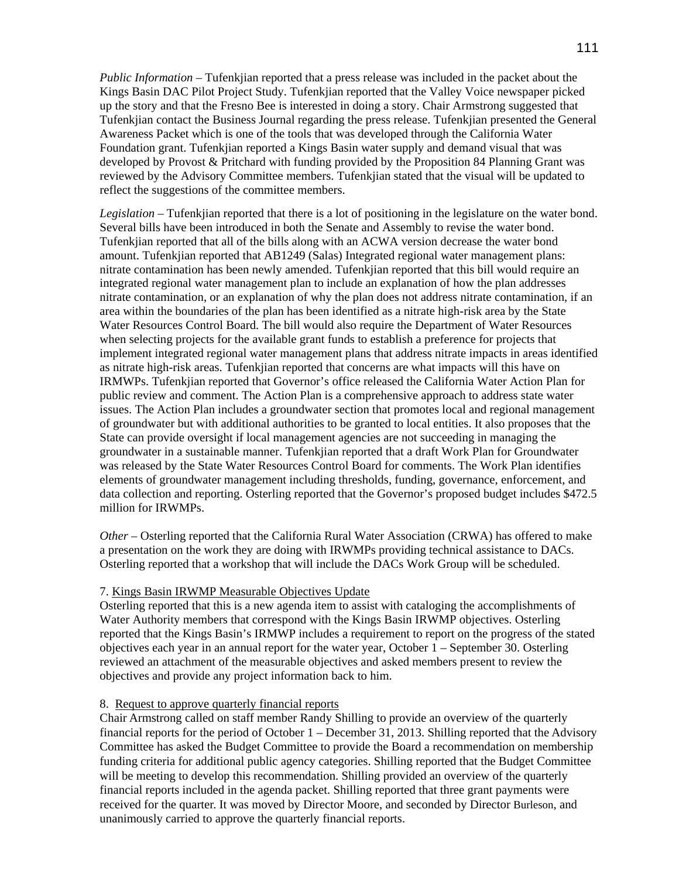*Public Information* – Tufenkjian reported that a press release was included in the packet about the Kings Basin DAC Pilot Project Study. Tufenkjian reported that the Valley Voice newspaper picked up the story and that the Fresno Bee is interested in doing a story. Chair Armstrong suggested that Tufenkjian contact the Business Journal regarding the press release. Tufenkjian presented the General Awareness Packet which is one of the tools that was developed through the California Water Foundation grant. Tufenkjian reported a Kings Basin water supply and demand visual that was developed by Provost & Pritchard with funding provided by the Proposition 84 Planning Grant was reviewed by the Advisory Committee members. Tufenkjian stated that the visual will be updated to reflect the suggestions of the committee members.

*Legislation –* Tufenkjian reported that there is a lot of positioning in the legislature on the water bond. Several bills have been introduced in both the Senate and Assembly to revise the water bond. Tufenkjian reported that all of the bills along with an ACWA version decrease the water bond amount. Tufenkjian reported that AB1249 (Salas) Integrated regional water management plans: nitrate contamination has been newly amended. Tufenkjian reported that this bill would require an integrated regional water management plan to include an explanation of how the plan addresses nitrate contamination, or an explanation of why the plan does not address nitrate contamination, if an area within the boundaries of the plan has been identified as a nitrate high-risk area by the State Water Resources Control Board. The bill would also require the Department of Water Resources when selecting projects for the available grant funds to establish a preference for projects that implement integrated regional water management plans that address nitrate impacts in areas identified as nitrate high-risk areas. Tufenkjian reported that concerns are what impacts will this have on IRMWPs. Tufenkjian reported that Governor's office released the California Water Action Plan for public review and comment. The Action Plan is a comprehensive approach to address state water issues. The Action Plan includes a groundwater section that promotes local and regional management of groundwater but with additional authorities to be granted to local entities. It also proposes that the State can provide oversight if local management agencies are not succeeding in managing the groundwater in a sustainable manner. Tufenkjian reported that a draft Work Plan for Groundwater was released by the State Water Resources Control Board for comments. The Work Plan identifies elements of groundwater management including thresholds, funding, governance, enforcement, and data collection and reporting. Osterling reported that the Governor's proposed budget includes \$472.5 million for IRWMPs.

*Other –* Osterling reported that the California Rural Water Association (CRWA) has offered to make a presentation on the work they are doing with IRWMPs providing technical assistance to DACs. Osterling reported that a workshop that will include the DACs Work Group will be scheduled.

## 7. Kings Basin IRWMP Measurable Objectives Update

Osterling reported that this is a new agenda item to assist with cataloging the accomplishments of Water Authority members that correspond with the Kings Basin IRWMP objectives. Osterling reported that the Kings Basin's IRMWP includes a requirement to report on the progress of the stated objectives each year in an annual report for the water year, October 1 – September 30. Osterling reviewed an attachment of the measurable objectives and asked members present to review the objectives and provide any project information back to him.

## 8. Request to approve quarterly financial reports

Chair Armstrong called on staff member Randy Shilling to provide an overview of the quarterly financial reports for the period of October 1 – December 31, 2013. Shilling reported that the Advisory Committee has asked the Budget Committee to provide the Board a recommendation on membership funding criteria for additional public agency categories. Shilling reported that the Budget Committee will be meeting to develop this recommendation. Shilling provided an overview of the quarterly financial reports included in the agenda packet. Shilling reported that three grant payments were received for the quarter. It was moved by Director Moore, and seconded by Director Burleson, and unanimously carried to approve the quarterly financial reports.